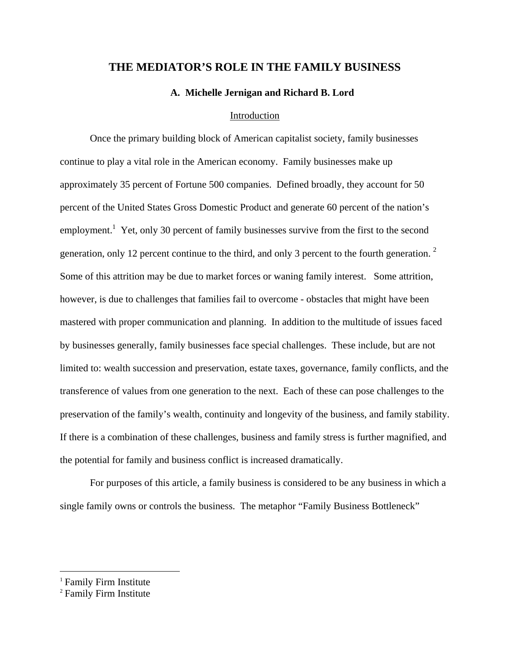# **THE MEDIATOR'S ROLE IN THE FAMILY BUSINESS**

**A. Michelle Jernigan and Richard B. Lord** 

## Introduction

 Once the primary building block of American capitalist society, family businesses continue to play a vital role in the American economy. Family businesses make up approximately 35 percent of Fortune 500 companies. Defined broadly, they account for 50 percent of the United States Gross Domestic Product and generate 60 percent of the nation's employment.<sup>1</sup> Yet, only 30 percent of family businesses survive from the first to the second generation, only 12 percent continue to the third, and only 3 percent to the fourth generation.  $2$ Some of this attrition may be due to market forces or waning family interest. Some attrition, however, is due to challenges that families fail to overcome - obstacles that might have been mastered with proper communication and planning. In addition to the multitude of issues faced by businesses generally, family businesses face special challenges. These include, but are not limited to: wealth succession and preservation, estate taxes, governance, family conflicts, and the transference of values from one generation to the next. Each of these can pose challenges to the preservation of the family's wealth, continuity and longevity of the business, and family stability. If there is a combination of these challenges, business and family stress is further magnified, and the potential for family and business conflict is increased dramatically.

For purposes of this article, a family business is considered to be any business in which a single family owns or controls the business. The metaphor "Family Business Bottleneck"

<sup>&</sup>lt;sup>1</sup> Family Firm Institute

<sup>2</sup> Family Firm Institute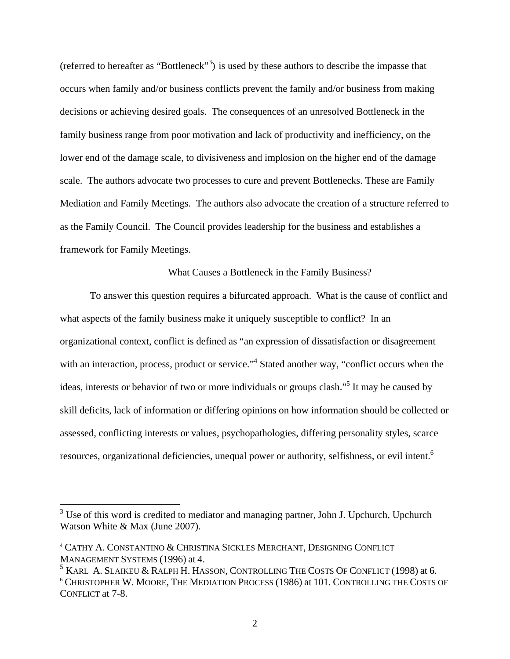(referred to hereafter as "Bottleneck"<sup>3</sup>) is used by these authors to describe the impasse that occurs when family and/or business conflicts prevent the family and/or business from making decisions or achieving desired goals. The consequences of an unresolved Bottleneck in the family business range from poor motivation and lack of productivity and inefficiency, on the lower end of the damage scale, to divisiveness and implosion on the higher end of the damage scale. The authors advocate two processes to cure and prevent Bottlenecks. These are Family Mediation and Family Meetings. The authors also advocate the creation of a structure referred to as the Family Council. The Council provides leadership for the business and establishes a framework for Family Meetings.

# What Causes a Bottleneck in the Family Business?

To answer this question requires a bifurcated approach. What is the cause of conflict and what aspects of the family business make it uniquely susceptible to conflict? In an organizational context, conflict is defined as "an expression of dissatisfaction or disagreement with an interaction, process, product or service."<sup>4</sup> Stated another way, "conflict occurs when the ideas, interests or behavior of two or more individuals or groups clash."<sup>5</sup> It may be caused by skill deficits, lack of information or differing opinions on how information should be collected or assessed, conflicting interests or values, psychopathologies, differing personality styles, scarce resources, organizational deficiencies, unequal power or authority, selfishness, or evil intent.<sup>6</sup>

<sup>&</sup>lt;sup>3</sup> Use of this word is credited to mediator and managing partner, John J. Upchurch, Upchurch Watson White & Max (June 2007).

<sup>4</sup> CATHY A. CONSTANTINO & CHRISTINA SICKLES MERCHANT, DESIGNING CONFLICT MANAGEMENT SYSTEMS (1996) at 4.

 $^5$  Karl A. Slaikeu & Ralph H. Hasson, Controlling The Costs Of Conflict (1998) at 6. <sup>6</sup> CHRISTOPHER W. MOORE, THE MEDIATION PROCESS (1986) at 101. CONTROLLING THE COSTS OF CONFLICT at 7-8.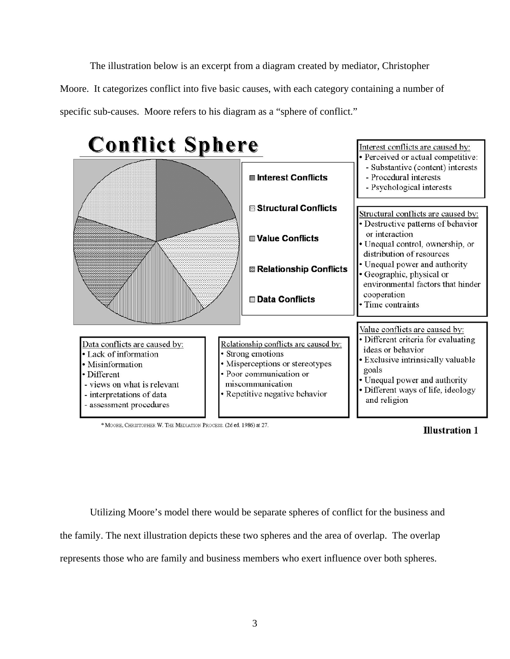The illustration below is an excerpt from a diagram created by mediator, Christopher Moore. It categorizes conflict into five basic causes, with each category containing a number of specific sub-causes. Moore refers to his diagram as a "sphere of conflict."



\* MOORE, CHRISTOPHER W. THE MEDIATION PROCESS. (2d ed. 1986) at 27.



Utilizing Moore's model there would be separate spheres of conflict for the business and the family. The next illustration depicts these two spheres and the area of overlap. The overlap represents those who are family and business members who exert influence over both spheres.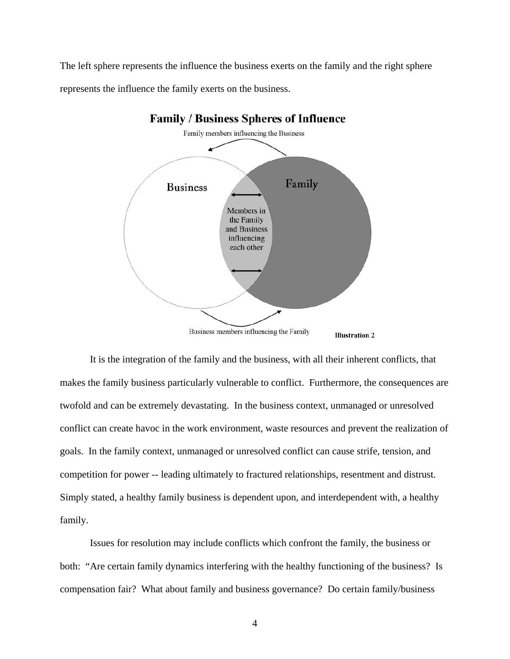The left sphere represents the influence the business exerts on the family and the right sphere represents the influence the family exerts on the business.



**Family / Business Spheres of Influence** 

It is the integration of the family and the business, with all their inherent conflicts, that makes the family business particularly vulnerable to conflict. Furthermore, the consequences are twofold and can be extremely devastating. In the business context, unmanaged or unresolved conflict can create havoc in the work environment, waste resources and prevent the realization of goals. In the family context, unmanaged or unresolved conflict can cause strife, tension, and competition for power -- leading ultimately to fractured relationships, resentment and distrust. Simply stated, a healthy family business is dependent upon, and interdependent with, a healthy family.

Issues for resolution may include conflicts which confront the family, the business or both: "Are certain family dynamics interfering with the healthy functioning of the business? Is compensation fair? What about family and business governance? Do certain family/business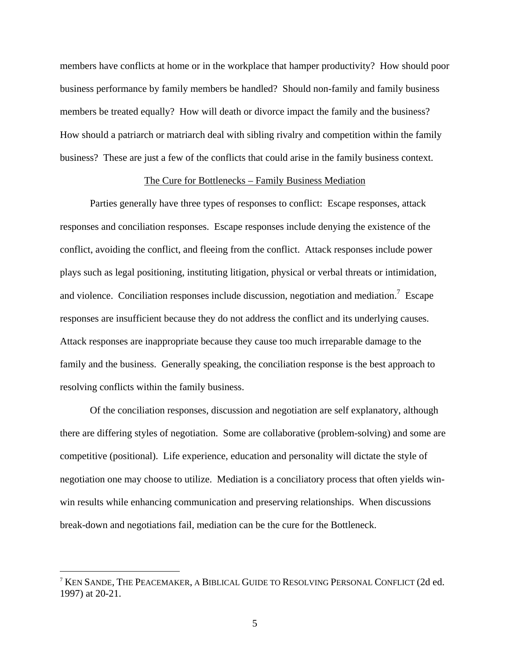members have conflicts at home or in the workplace that hamper productivity? How should poor business performance by family members be handled? Should non-family and family business members be treated equally? How will death or divorce impact the family and the business? How should a patriarch or matriarch deal with sibling rivalry and competition within the family business? These are just a few of the conflicts that could arise in the family business context.

## The Cure for Bottlenecks – Family Business Mediation

 Parties generally have three types of responses to conflict: Escape responses, attack responses and conciliation responses. Escape responses include denying the existence of the conflict, avoiding the conflict, and fleeing from the conflict. Attack responses include power plays such as legal positioning, instituting litigation, physical or verbal threats or intimidation, and violence. Conciliation responses include discussion, negotiation and mediation.<sup>7</sup> Escape responses are insufficient because they do not address the conflict and its underlying causes. Attack responses are inappropriate because they cause too much irreparable damage to the family and the business. Generally speaking, the conciliation response is the best approach to resolving conflicts within the family business.

 Of the conciliation responses, discussion and negotiation are self explanatory, although there are differing styles of negotiation. Some are collaborative (problem-solving) and some are competitive (positional). Life experience, education and personality will dictate the style of negotiation one may choose to utilize. Mediation is a conciliatory process that often yields winwin results while enhancing communication and preserving relationships. When discussions break-down and negotiations fail, mediation can be the cure for the Bottleneck.

<sup>7</sup> KEN SANDE, THE PEACEMAKER, A BIBLICAL GUIDE TO RESOLVING PERSONAL CONFLICT (2d ed. 1997) at 20-21.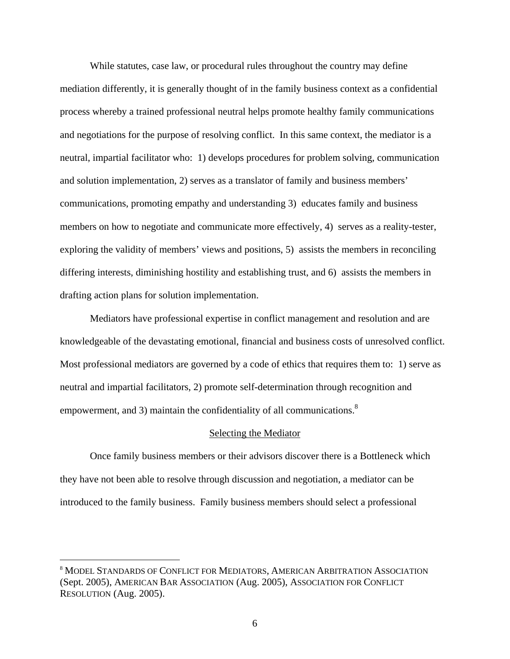While statutes, case law, or procedural rules throughout the country may define mediation differently, it is generally thought of in the family business context as a confidential process whereby a trained professional neutral helps promote healthy family communications and negotiations for the purpose of resolving conflict. In this same context, the mediator is a neutral, impartial facilitator who: 1) develops procedures for problem solving, communication and solution implementation, 2) serves as a translator of family and business members' communications, promoting empathy and understanding 3) educates family and business members on how to negotiate and communicate more effectively, 4) serves as a reality-tester, exploring the validity of members' views and positions, 5) assists the members in reconciling differing interests, diminishing hostility and establishing trust, and 6) assists the members in drafting action plans for solution implementation.

 Mediators have professional expertise in conflict management and resolution and are knowledgeable of the devastating emotional, financial and business costs of unresolved conflict. Most professional mediators are governed by a code of ethics that requires them to: 1) serve as neutral and impartial facilitators, 2) promote self-determination through recognition and empowerment, and 3) maintain the confidentiality of all communications. $8$ 

#### Selecting the Mediator

 Once family business members or their advisors discover there is a Bottleneck which they have not been able to resolve through discussion and negotiation, a mediator can be introduced to the family business. Family business members should select a professional

<sup>8</sup> MODEL STANDARDS OF CONFLICT FOR MEDIATORS, AMERICAN ARBITRATION ASSOCIATION (Sept. 2005), AMERICAN BAR ASSOCIATION (Aug. 2005), ASSOCIATION FOR CONFLICT RESOLUTION (Aug. 2005).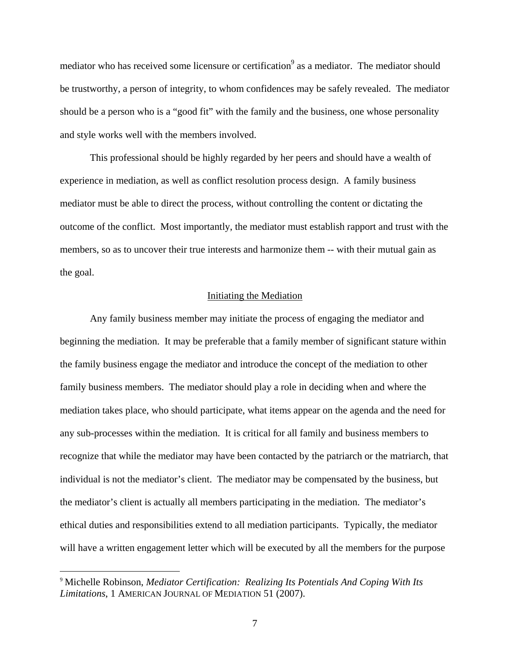mediator who has received some licensure or certification<sup>9</sup> as a mediator. The mediator should be trustworthy, a person of integrity, to whom confidences may be safely revealed. The mediator should be a person who is a "good fit" with the family and the business, one whose personality and style works well with the members involved.

This professional should be highly regarded by her peers and should have a wealth of experience in mediation, as well as conflict resolution process design. A family business mediator must be able to direct the process, without controlling the content or dictating the outcome of the conflict. Most importantly, the mediator must establish rapport and trust with the members, so as to uncover their true interests and harmonize them -- with their mutual gain as the goal.

# Initiating the Mediation

 Any family business member may initiate the process of engaging the mediator and beginning the mediation. It may be preferable that a family member of significant stature within the family business engage the mediator and introduce the concept of the mediation to other family business members. The mediator should play a role in deciding when and where the mediation takes place, who should participate, what items appear on the agenda and the need for any sub-processes within the mediation. It is critical for all family and business members to recognize that while the mediator may have been contacted by the patriarch or the matriarch, that individual is not the mediator's client. The mediator may be compensated by the business, but the mediator's client is actually all members participating in the mediation. The mediator's ethical duties and responsibilities extend to all mediation participants. Typically, the mediator will have a written engagement letter which will be executed by all the members for the purpose

<sup>9</sup> Michelle Robinson, *Mediator Certification: Realizing Its Potentials And Coping With Its Limitations*, 1 AMERICAN JOURNAL OF MEDIATION 51 (2007).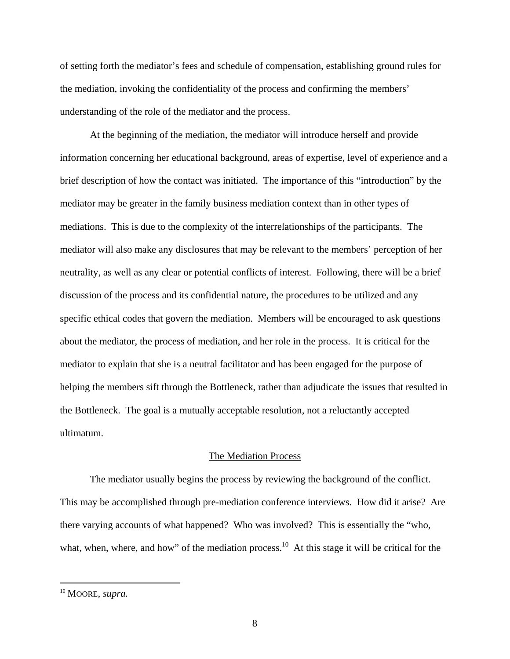of setting forth the mediator's fees and schedule of compensation, establishing ground rules for the mediation, invoking the confidentiality of the process and confirming the members' understanding of the role of the mediator and the process.

 At the beginning of the mediation, the mediator will introduce herself and provide information concerning her educational background, areas of expertise, level of experience and a brief description of how the contact was initiated. The importance of this "introduction" by the mediator may be greater in the family business mediation context than in other types of mediations. This is due to the complexity of the interrelationships of the participants. The mediator will also make any disclosures that may be relevant to the members' perception of her neutrality, as well as any clear or potential conflicts of interest. Following, there will be a brief discussion of the process and its confidential nature, the procedures to be utilized and any specific ethical codes that govern the mediation. Members will be encouraged to ask questions about the mediator, the process of mediation, and her role in the process. It is critical for the mediator to explain that she is a neutral facilitator and has been engaged for the purpose of helping the members sift through the Bottleneck, rather than adjudicate the issues that resulted in the Bottleneck. The goal is a mutually acceptable resolution, not a reluctantly accepted ultimatum.

#### The Mediation Process

 The mediator usually begins the process by reviewing the background of the conflict. This may be accomplished through pre-mediation conference interviews. How did it arise? Are there varying accounts of what happened? Who was involved? This is essentially the "who, what, when, where, and how" of the mediation process.<sup>10</sup> At this stage it will be critical for the

<sup>10</sup> MOORE, *supra.*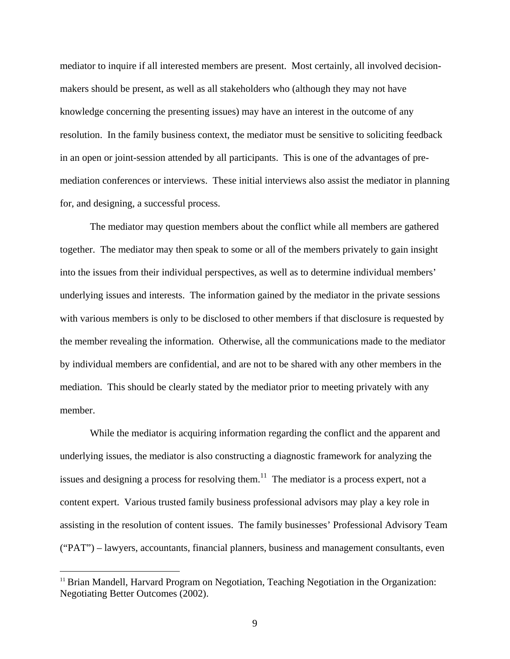mediator to inquire if all interested members are present. Most certainly, all involved decisionmakers should be present, as well as all stakeholders who (although they may not have knowledge concerning the presenting issues) may have an interest in the outcome of any resolution. In the family business context, the mediator must be sensitive to soliciting feedback in an open or joint-session attended by all participants. This is one of the advantages of premediation conferences or interviews. These initial interviews also assist the mediator in planning for, and designing, a successful process.

The mediator may question members about the conflict while all members are gathered together. The mediator may then speak to some or all of the members privately to gain insight into the issues from their individual perspectives, as well as to determine individual members' underlying issues and interests. The information gained by the mediator in the private sessions with various members is only to be disclosed to other members if that disclosure is requested by the member revealing the information. Otherwise, all the communications made to the mediator by individual members are confidential, and are not to be shared with any other members in the mediation. This should be clearly stated by the mediator prior to meeting privately with any member.

 While the mediator is acquiring information regarding the conflict and the apparent and underlying issues, the mediator is also constructing a diagnostic framework for analyzing the issues and designing a process for resolving them.<sup>11</sup> The mediator is a process expert, not a content expert. Various trusted family business professional advisors may play a key role in assisting in the resolution of content issues. The family businesses' Professional Advisory Team ("PAT") – lawyers, accountants, financial planners, business and management consultants, even

<sup>&</sup>lt;sup>11</sup> Brian Mandell, Harvard Program on Negotiation, Teaching Negotiation in the Organization: Negotiating Better Outcomes (2002).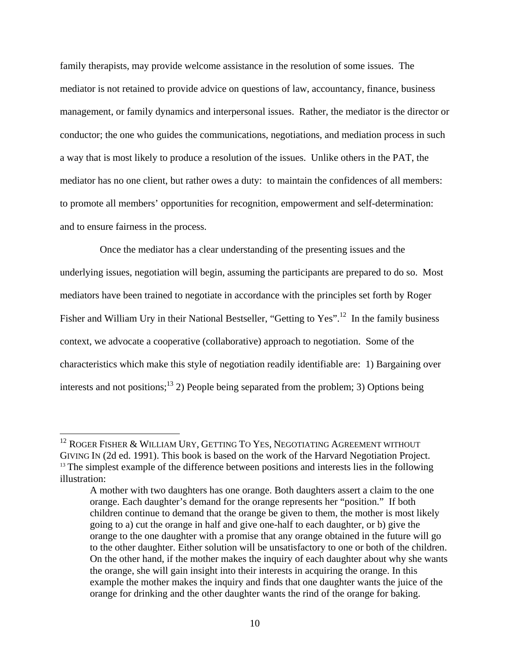family therapists, may provide welcome assistance in the resolution of some issues. The mediator is not retained to provide advice on questions of law, accountancy, finance, business management, or family dynamics and interpersonal issues. Rather, the mediator is the director or conductor; the one who guides the communications, negotiations, and mediation process in such a way that is most likely to produce a resolution of the issues. Unlike others in the PAT, the mediator has no one client, but rather owes a duty: to maintain the confidences of all members: to promote all members' opportunities for recognition, empowerment and self-determination: and to ensure fairness in the process.

 Once the mediator has a clear understanding of the presenting issues and the underlying issues, negotiation will begin, assuming the participants are prepared to do so. Most mediators have been trained to negotiate in accordance with the principles set forth by Roger Fisher and William Ury in their National Bestseller, "Getting to Yes".<sup>12</sup> In the family business context, we advocate a cooperative (collaborative) approach to negotiation. Some of the characteristics which make this style of negotiation readily identifiable are: 1) Bargaining over interests and not positions;<sup>13</sup> 2) People being separated from the problem; 3) Options being

 $^{12}$  ROGER FISHER & WILLIAM URY, GETTING TO YES, NEGOTIATING AGREEMENT WITHOUT GIVING IN (2d ed. 1991). This book is based on the work of the Harvard Negotiation Project.<br><sup>13</sup> The simplest example of the difference between positions and interests lies in the following illustration:

A mother with two daughters has one orange. Both daughters assert a claim to the one orange. Each daughter's demand for the orange represents her "position." If both children continue to demand that the orange be given to them, the mother is most likely going to a) cut the orange in half and give one-half to each daughter, or b) give the orange to the one daughter with a promise that any orange obtained in the future will go to the other daughter. Either solution will be unsatisfactory to one or both of the children. On the other hand, if the mother makes the inquiry of each daughter about why she wants the orange, she will gain insight into their interests in acquiring the orange. In this example the mother makes the inquiry and finds that one daughter wants the juice of the orange for drinking and the other daughter wants the rind of the orange for baking.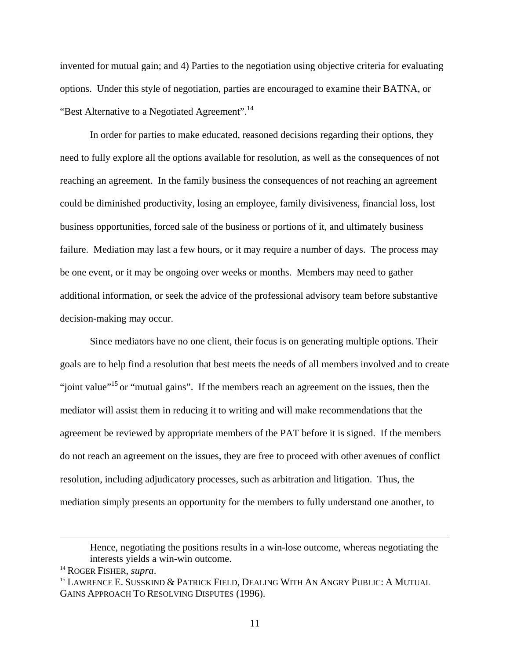invented for mutual gain; and 4) Parties to the negotiation using objective criteria for evaluating options. Under this style of negotiation, parties are encouraged to examine their BATNA, or "Best Alternative to a Negotiated Agreement".<sup>14</sup>

In order for parties to make educated, reasoned decisions regarding their options, they need to fully explore all the options available for resolution, as well as the consequences of not reaching an agreement. In the family business the consequences of not reaching an agreement could be diminished productivity, losing an employee, family divisiveness, financial loss, lost business opportunities, forced sale of the business or portions of it, and ultimately business failure. Mediation may last a few hours, or it may require a number of days. The process may be one event, or it may be ongoing over weeks or months. Members may need to gather additional information, or seek the advice of the professional advisory team before substantive decision-making may occur.

 Since mediators have no one client, their focus is on generating multiple options. Their goals are to help find a resolution that best meets the needs of all members involved and to create "joint value"<sup>15</sup> or "mutual gains". If the members reach an agreement on the issues, then the mediator will assist them in reducing it to writing and will make recommendations that the agreement be reviewed by appropriate members of the PAT before it is signed. If the members do not reach an agreement on the issues, they are free to proceed with other avenues of conflict resolution, including adjudicatory processes, such as arbitration and litigation. Thus, the mediation simply presents an opportunity for the members to fully understand one another, to

Hence, negotiating the positions results in a win-lose outcome, whereas negotiating the interests yields a win-win outcome. 14 ROGER FISHER, *supra*.

<sup>&</sup>lt;sup>15</sup> LAWRENCE E. SUSSKIND & PATRICK FIELD, DEALING WITH AN ANGRY PUBLIC: A MUTUAL GAINS APPROACH TO RESOLVING DISPUTES (1996).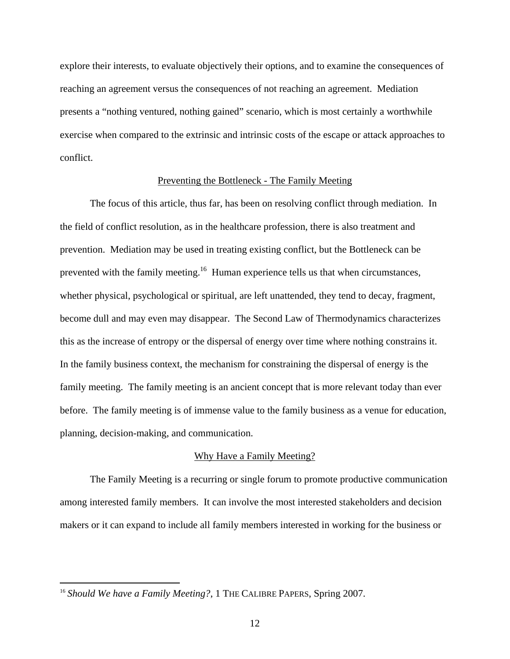explore their interests, to evaluate objectively their options, and to examine the consequences of reaching an agreement versus the consequences of not reaching an agreement. Mediation presents a "nothing ventured, nothing gained" scenario, which is most certainly a worthwhile exercise when compared to the extrinsic and intrinsic costs of the escape or attack approaches to conflict.

## Preventing the Bottleneck - The Family Meeting

 The focus of this article, thus far, has been on resolving conflict through mediation. In the field of conflict resolution, as in the healthcare profession, there is also treatment and prevention. Mediation may be used in treating existing conflict, but the Bottleneck can be prevented with the family meeting.<sup>16</sup> Human experience tells us that when circumstances, whether physical, psychological or spiritual, are left unattended, they tend to decay, fragment, become dull and may even may disappear. The Second Law of Thermodynamics characterizes this as the increase of entropy or the dispersal of energy over time where nothing constrains it. In the family business context, the mechanism for constraining the dispersal of energy is the family meeting. The family meeting is an ancient concept that is more relevant today than ever before.The family meeting is of immense value to the family business as a venue for education, planning, decision-making, and communication.

#### Why Have a Family Meeting?

The Family Meeting is a recurring or single forum to promote productive communication among interested family members. It can involve the most interested stakeholders and decision makers or it can expand to include all family members interested in working for the business or

<sup>&</sup>lt;sup>16</sup> Should We have a Family Meeting?, 1 THE CALIBRE PAPERS, Spring 2007.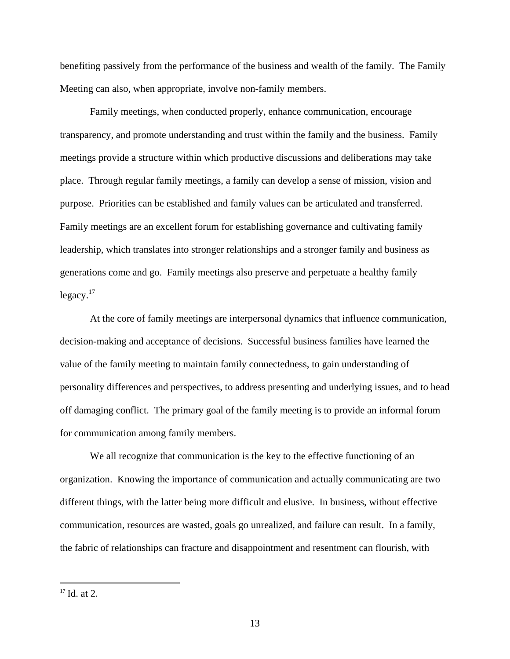benefiting passively from the performance of the business and wealth of the family. The Family Meeting can also, when appropriate, involve non-family members.

Family meetings, when conducted properly, enhance communication, encourage transparency, and promote understanding and trust within the family and the business.Family meetings provide a structure within which productive discussions and deliberations may take place.Through regular family meetings, a family can develop a sense of mission, vision and purpose. Priorities can be established and family values can be articulated and transferred. Family meetings are an excellent forum for establishing governance and cultivating family leadership, which translates into stronger relationships and a stronger family and business as generations come and go. Family meetings also preserve and perpetuate a healthy family  $legacy.<sup>17</sup>$ 

At the core of family meetings are interpersonal dynamics that influence communication, decision-making and acceptance of decisions. Successful business families have learned the value of the family meeting to maintain family connectedness, to gain understanding of personality differences and perspectives, to address presenting and underlying issues, and to head off damaging conflict. The primary goal of the family meeting is to provide an informal forum for communication among family members.

We all recognize that communication is the key to the effective functioning of an organization. Knowing the importance of communication and actually communicating are two different things, with the latter being more difficult and elusive. In business, without effective communication, resources are wasted, goals go unrealized, and failure can result. In a family, the fabric of relationships can fracture and disappointment and resentment can flourish, with

<u>.</u>

 $17$  Id. at 2.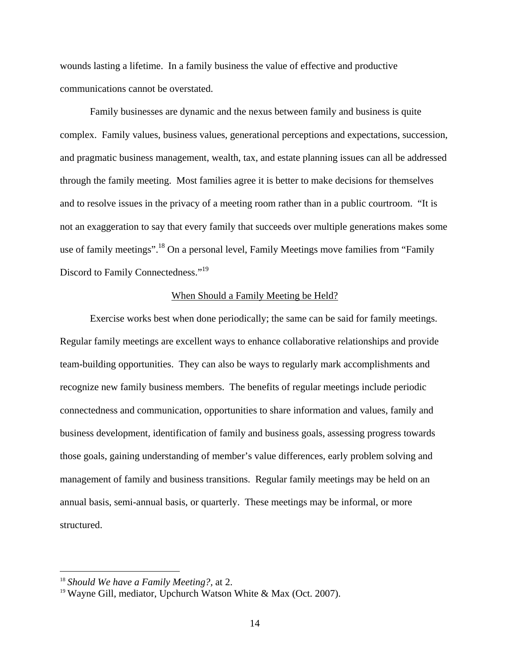wounds lasting a lifetime. In a family business the value of effective and productive communications cannot be overstated.

Family businesses are dynamic and the nexus between family and business is quite complex. Family values, business values, generational perceptions and expectations, succession, and pragmatic business management, wealth, tax, and estate planning issues can all be addressed through the family meeting. Most families agree it is better to make decisions for themselves and to resolve issues in the privacy of a meeting room rather than in a public courtroom. "It is not an exaggeration to say that every family that succeeds over multiple generations makes some use of family meetings".<sup>18</sup> On a personal level, Family Meetings move families from "Family" Discord to Family Connectedness."<sup>19</sup>

### When Should a Family Meeting be Held?

 Exercise works best when done periodically; the same can be said for family meetings. Regular family meetings are excellent ways to enhance collaborative relationships and provide team-building opportunities. They can also be ways to regularly mark accomplishments and recognize new family business members. The benefits of regular meetings include periodic connectedness and communication, opportunities to share information and values, family and business development, identification of family and business goals, assessing progress towards those goals, gaining understanding of member's value differences, early problem solving and management of family and business transitions. Regular family meetings may be held on an annual basis, semi-annual basis, or quarterly. These meetings may be informal, or more structured.

<sup>18</sup> *Should We have a Family Meeting?,* at 2.

<sup>&</sup>lt;sup>19</sup> Wayne Gill, mediator, Upchurch Watson White & Max (Oct. 2007).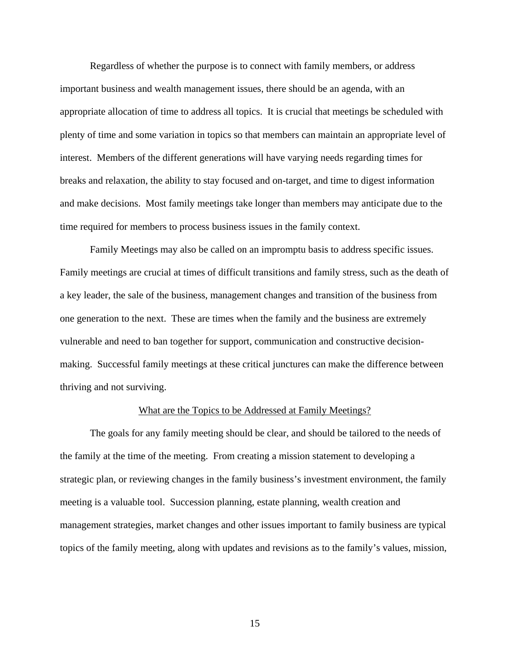Regardless of whether the purpose is to connect with family members, or address important business and wealth management issues, there should be an agenda, with an appropriate allocation of time to address all topics. It is crucial that meetings be scheduled with plenty of time and some variation in topics so that members can maintain an appropriate level of interest. Members of the different generations will have varying needs regarding times for breaks and relaxation, the ability to stay focused and on-target, and time to digest information and make decisions. Most family meetings take longer than members may anticipate due to the time required for members to process business issues in the family context.

 Family Meetings may also be called on an impromptu basis to address specific issues. Family meetings are crucial at times of difficult transitions and family stress, such as the death of a key leader, the sale of the business, management changes and transition of the business from one generation to the next. These are times when the family and the business are extremely vulnerable and need to ban together for support, communication and constructive decisionmaking. Successful family meetings at these critical junctures can make the difference between thriving and not surviving.

# What are the Topics to be Addressed at Family Meetings?

 The goals for any family meeting should be clear, and should be tailored to the needs of the family at the time of the meeting. From creating a mission statement to developing a strategic plan, or reviewing changes in the family business's investment environment, the family meeting is a valuable tool. Succession planning, estate planning, wealth creation and management strategies, market changes and other issues important to family business are typical topics of the family meeting, along with updates and revisions as to the family's values, mission,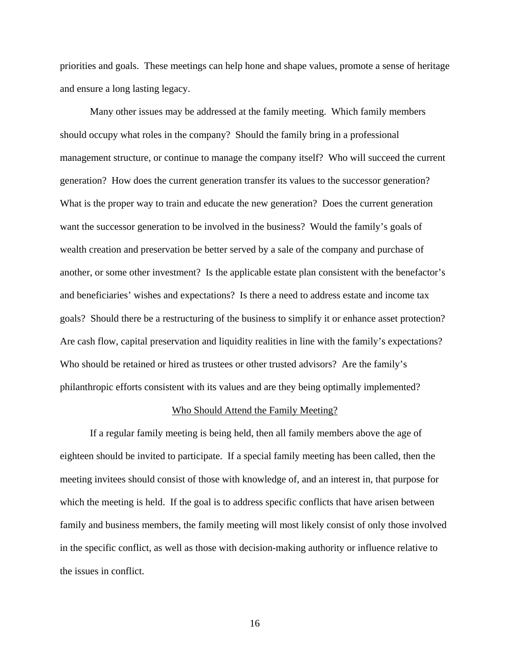priorities and goals. These meetings can help hone and shape values, promote a sense of heritage and ensure a long lasting legacy.

Many other issues may be addressed at the family meeting. Which family members should occupy what roles in the company? Should the family bring in a professional management structure, or continue to manage the company itself? Who will succeed the current generation? How does the current generation transfer its values to the successor generation? What is the proper way to train and educate the new generation? Does the current generation want the successor generation to be involved in the business? Would the family's goals of wealth creation and preservation be better served by a sale of the company and purchase of another, or some other investment? Is the applicable estate plan consistent with the benefactor's and beneficiaries' wishes and expectations? Is there a need to address estate and income tax goals? Should there be a restructuring of the business to simplify it or enhance asset protection? Are cash flow, capital preservation and liquidity realities in line with the family's expectations? Who should be retained or hired as trustees or other trusted advisors? Are the family's philanthropic efforts consistent with its values and are they being optimally implemented?

# Who Should Attend the Family Meeting?

 If a regular family meeting is being held, then all family members above the age of eighteen should be invited to participate. If a special family meeting has been called, then the meeting invitees should consist of those with knowledge of, and an interest in, that purpose for which the meeting is held. If the goal is to address specific conflicts that have arisen between family and business members, the family meeting will most likely consist of only those involved in the specific conflict, as well as those with decision-making authority or influence relative to the issues in conflict.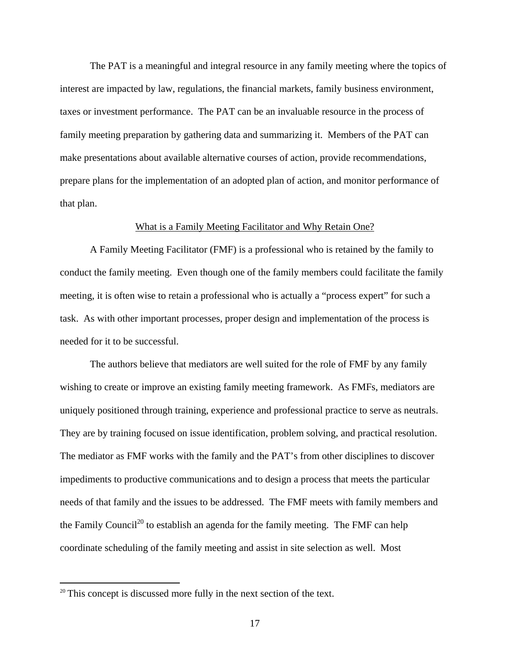The PAT is a meaningful and integral resource in any family meeting where the topics of interest are impacted by law, regulations, the financial markets, family business environment, taxes or investment performance. The PAT can be an invaluable resource in the process of family meeting preparation by gathering data and summarizing it. Members of the PAT can make presentations about available alternative courses of action, provide recommendations, prepare plans for the implementation of an adopted plan of action, and monitor performance of that plan.

## What is a Family Meeting Facilitator and Why Retain One?

A Family Meeting Facilitator (FMF) is a professional who is retained by the family to conduct the family meeting. Even though one of the family members could facilitate the family meeting, it is often wise to retain a professional who is actually a "process expert" for such a task. As with other important processes, proper design and implementation of the process is needed for it to be successful.

 The authors believe that mediators are well suited for the role of FMF by any family wishing to create or improve an existing family meeting framework. As FMFs, mediators are uniquely positioned through training, experience and professional practice to serve as neutrals. They are by training focused on issue identification, problem solving, and practical resolution. The mediator as FMF works with the family and the PAT's from other disciplines to discover impediments to productive communications and to design a process that meets the particular needs of that family and the issues to be addressed. The FMF meets with family members and the Family Council<sup>20</sup> to establish an agenda for the family meeting. The FMF can help coordinate scheduling of the family meeting and assist in site selection as well. Most

<sup>&</sup>lt;sup>20</sup> This concept is discussed more fully in the next section of the text.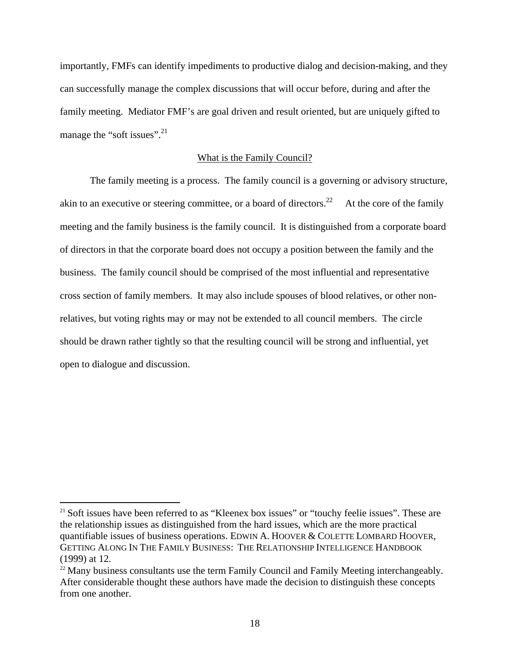importantly, FMFs can identify impediments to productive dialog and decision-making, and they can successfully manage the complex discussions that will occur before, during and after the family meeting. Mediator FMF's are goal driven and result oriented, but are uniquely gifted to manage the "soft issues".<sup>21</sup>

# What is the Family Council?

 The family meeting is a process. The family council is a governing or advisory structure, akin to an executive or steering committee, or a board of directors.<sup>22</sup> At the core of the family meeting and the family business is the family council. It is distinguished from a corporate board of directors in that the corporate board does not occupy a position between the family and the business. The family council should be comprised of the most influential and representative cross section of family members. It may also include spouses of blood relatives, or other nonrelatives, but voting rights may or may not be extended to all council members. The circle should be drawn rather tightly so that the resulting council will be strong and influential, yet open to dialogue and discussion.

<sup>&</sup>lt;sup>21</sup> Soft issues have been referred to as "Kleenex box issues" or "touchy feelie issues". These are the relationship issues as distinguished from the hard issues, which are the more practical quantifiable issues of business operations. EDWIN A. HOOVER & COLETTE LOMBARD HOOVER, GETTING ALONG IN THE FAMILY BUSINESS: THE RELATIONSHIP INTELLIGENCE HANDBOOK (1999) at 12.<br><sup>22</sup> Many business consultants use the term Family Council and Family Meeting interchangeably.

After considerable thought these authors have made the decision to distinguish these concepts from one another.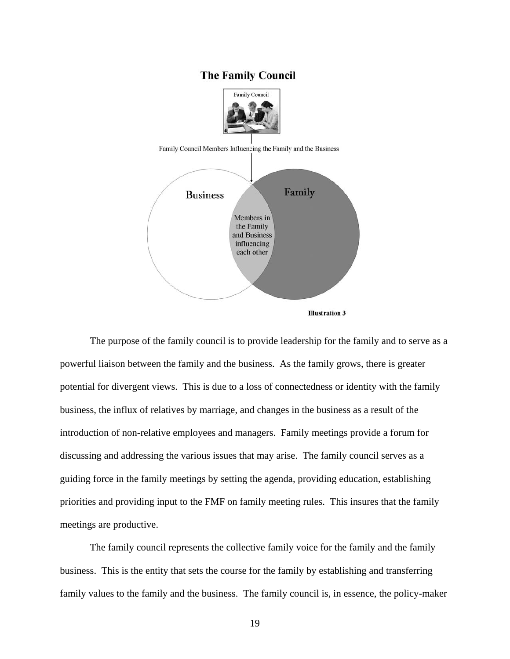# **The Family Council**



Family Council Members Influencing the Family and the Business





 The purpose of the family council is to provide leadership for the family and to serve as a powerful liaison between the family and the business. As the family grows, there is greater potential for divergent views. This is due to a loss of connectedness or identity with the family business, the influx of relatives by marriage, and changes in the business as a result of the introduction of non-relative employees and managers. Family meetings provide a forum for discussing and addressing the various issues that may arise. The family council serves as a guiding force in the family meetings by setting the agenda, providing education, establishing priorities and providing input to the FMF on family meeting rules. This insures that the family meetings are productive.

 The family council represents the collective family voice for the family and the family business. This is the entity that sets the course for the family by establishing and transferring family values to the family and the business. The family council is, in essence, the policy-maker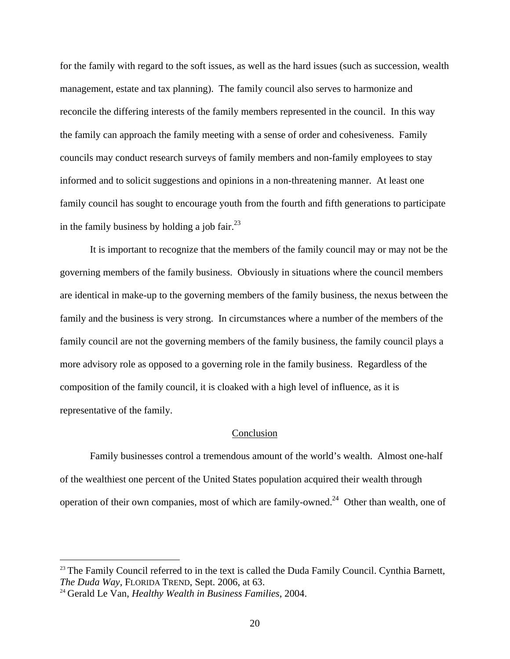for the family with regard to the soft issues, as well as the hard issues (such as succession, wealth management, estate and tax planning). The family council also serves to harmonize and reconcile the differing interests of the family members represented in the council. In this way the family can approach the family meeting with a sense of order and cohesiveness. Family councils may conduct research surveys of family members and non-family employees to stay informed and to solicit suggestions and opinions in a non-threatening manner. At least one family council has sought to encourage youth from the fourth and fifth generations to participate in the family business by holding a job fair.<sup>23</sup>

 It is important to recognize that the members of the family council may or may not be the governing members of the family business. Obviously in situations where the council members are identical in make-up to the governing members of the family business, the nexus between the family and the business is very strong. In circumstances where a number of the members of the family council are not the governing members of the family business, the family council plays a more advisory role as opposed to a governing role in the family business. Regardless of the composition of the family council, it is cloaked with a high level of influence, as it is representative of the family.

### Conclusion

 Family businesses control a tremendous amount of the world's wealth. Almost one-half of the wealthiest one percent of the United States population acquired their wealth through operation of their own companies, most of which are family-owned.<sup>24</sup> Other than wealth, one of

<sup>&</sup>lt;sup>23</sup> The Family Council referred to in the text is called the Duda Family Council. Cynthia Barnett, *The Duda Way,* FLORIDA TREND, Sept. 2006, at 63.

<sup>24</sup> Gerald Le Van, *Healthy Wealth in Business Families,* 2004.